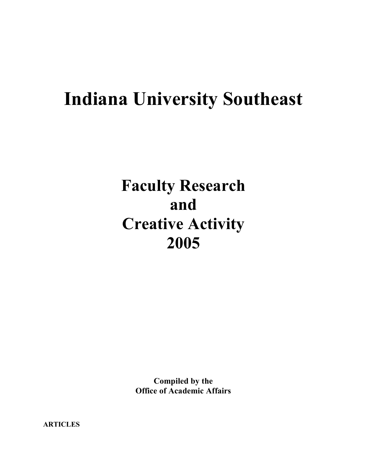# **Indiana University Southeast**

# **Faculty Research and Creative Activity 2005**

**Compiled by the Office of Academic Affairs**

**ARTICLES**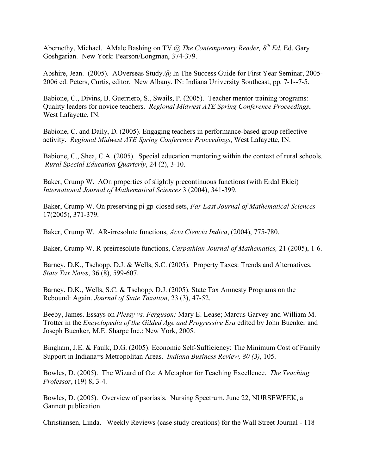Abernethy, Michael. AMale Bashing on TV.@ *The Contemporary Reader,*  $8^{th}$  *Ed.* Ed. Garv Goshgarian. New York: Pearson/Longman, 374-379.

Abshire, Jean. (2005). AOverseas Study.@ In The Success Guide for First Year Seminar, 2005- 2006 ed. Peters, Curtis, editor. New Albany, IN: Indiana University Southeast, pp. 7-1--7-5.

Babione, C., Divins, B. Guerriero, S., Swails, P. (2005). Teacher mentor training programs: Quality leaders for novice teachers. *Regional Midwest ATE Spring Conference Proceedings*, West Lafayette, IN.

Babione, C. and Daily, D. (2005). Engaging teachers in performance-based group reflective activity. *Regional Midwest ATE Spring Conference Proceedings*, West Lafayette, IN.

Babione, C., Shea, C.A. (2005). Special education mentoring within the context of rural schools. *Rural Special Education Quarterly*, 24 (2), 3-10.

Baker, Crump W. AOn properties of slightly precontinuous functions (with Erdal Ekici) *International Journal of Mathematical Sciences* 3 (2004), 341-399.

Baker, Crump W. On preserving pi gp-closed sets, *Far East Journal of Mathematical Sciences* 17(2005), 371-379.

Baker, Crump W. AR-irresolute functions, *Acta Ciencia Indica*, (2004), 775-780.

Baker, Crump W. R-preirresolute functions, *Carpathian Journal of Mathematics,* 21 (2005), 1-6.

Barney, D.K., Tschopp, D.J. & Wells, S.C. (2005). Property Taxes: Trends and Alternatives. *State Tax Notes*, 36 (8), 599-607.

Barney, D.K., Wells, S.C. & Tschopp, D.J. (2005). State Tax Amnesty Programs on the Rebound: Again. *Journal of State Taxation*, 23 (3), 47-52.

Beeby, James. Essays on *Plessy vs. Ferguson;* Mary E. Lease; Marcus Garvey and William M. Trotter in the *Encyclopedia of the Gilded Age and Progressive Era* edited by John Buenker and Joseph Buenker, M.E. Sharpe Inc.: New York, 2005.

Bingham, J.E. & Faulk, D.G. (2005). Economic Self-Sufficiency: The Minimum Cost of Family Support in Indiana=s Metropolitan Areas. *Indiana Business Review, 80 (3)*, 105.

Bowles, D. (2005). The Wizard of Oz: A Metaphor for Teaching Excellence. *The Teaching Professor*, (19) 8, 3-4.

Bowles, D. (2005). Overview of psoriasis. Nursing Spectrum, June 22, NURSEWEEK, a Gannett publication.

Christiansen, Linda. Weekly Reviews (case study creations) for the Wall Street Journal - 118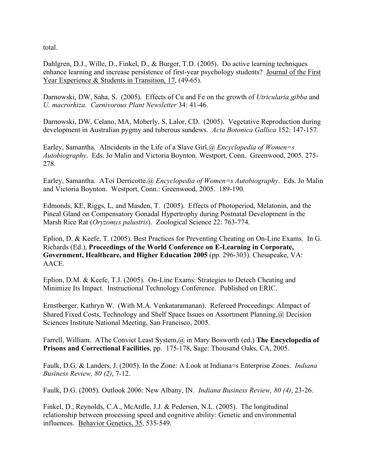total.

Dahlgren, D.J., Wille, D., Finkel, D., & Burger, T.D. (2005). Do active learning techniques enhance learning and increase persistence of first-year psychology students? Journal of the First Year Experience & Students in Transition, 17, (49-65).

Darnowski, DW, Saha, S. (2005). Effects of Cu and Fe on the growth of *Utricularia gibba* and *U. macrorhiza*. *Carnivorous Plant Newsletter* 34: 41-46.

Darnowski, DW, Celano, MA, Moberly, S, Lalor, CD. (2005). Vegetative Reproduction during development in Australian pygmy and tuberous sundews. *Acta Botonica Gallica* 152: 147-157.

Earley, Samantha. AIncidents in the Life of a Slave Girl.@ *Encyclopedia of Women=s Autobiography*. Eds. Jo Malin and Victoria Boynton. Westport, Conn. Greenwood, 2005. 275- 278.

Earley, Samantha. AToi Derricotte.@ *Encyclopedia of Women=s Autobiography*. Eds. Jo Malin and Victoria Boynton. Westport, Conn.: Greenwood, 2005. 189-190.

Edmonds, KE, Riggs, L, and Masden, T. (2005). Effects of Photoperiod, Melatonin, and the Pineal Gland on Compensatory Gonadal Hypertrophy during Postnatal Development in the Marsh Rice Rat (*Oryzomys palustris*). Zoological Science 22: 763-774.

Eplion, D. & Keefe, T. (2005). Best Practices for Preventing Cheating on On-Line Exams. In G. Richards (Ed.), **Proceedings of the World Conference on E-Learning in Corporate, Government, Healthcare, and Higher Education 2005** (pp. 296-303). Chesapeake, VA: AACE.

Eplion, D.M. & Keefe, T.J. (2005). On-Line Exams: Strategies to Detech Cheating and Minimize Its Impact. Instructional Technology Conference. Published on ERIC.

Ernstberger, Kathryn W. (With M.A. Venkataramanan). Refereed Proceedings: AImpact of Shared Fixed Costs, Technology and Shelf Space Issues on Assortment Planning,@ Decision Sciences Institute National Meeting, San Francisco, 2005.

Farrell, William. AThe Convict Least System,@ in Mary Bosworth (ed.) **The Encyclopedia of Prisons and Correctional Facilities**, pp. 175-178, Sage: Thousand Oaks, CA, 2005.

Faulk, D.G. & Landers, J. (2005). In the Zone: A Look at Indiana=s Enterprise Zones. *Indiana Business Review, 80 (2)*, 7-12.

Faulk, D.G. (2005). Outlook 2006: New Albany, IN. *Indiana Business Review, 80 (4)*, 23-26.

Finkel, D., Reynolds, C.A., McArdle, J.J. & Pedersen, N.L. (2005). The longitudinal relationship between processing speed and cognitive ability: Genetic and environmental influences. Behavior Genetics, 35, 535-549.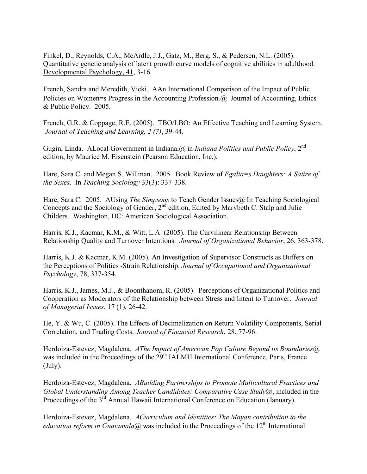Finkel, D., Reynolds, C.A., McArdle, J.J., Gatz, M., Berg, S., & Pedersen, N.L. (2005). Quantitative genetic analysis of latent growth curve models of cognitive abilities in adulthood. Developmental Psychology, 41, 3-16.

French, Sandra and Meredith, Vicki. AAn International Comparison of the Impact of Public Policies on Women=s Progress in the Accounting Profession.@ Journal of Accounting, Ethics & Public Policy. 2005.

French, G.R. & Coppage, R.E. (2005). TBO/LBO: An Effective Teaching and Learning System. *Journal of Teaching and Learning, 2 (7)*, 39-44.

Gugin, Linda. ALocal Government in Indiana,@ in *Indiana Politics and Public Policy*, 2nd edition, by Maurice M. Eisenstein (Pearson Education, Inc.).

Hare, Sara C. and Megan S. Willman. 2005. Book Review of *Egalia=s Daughters: A Satire of the Sexes*. In *Teaching Sociology* 33(3): 337-338.

Hare, Sara C. 2005. AUsing *The Simpsons* to Teach Gender Issues (a) In Teaching Sociological Concepts and the Sociology of Gender, 2<sup>nd</sup> edition, Edited by Marybeth C. Stalp and Julie Childers. Washington, DC: American Sociological Association.

Harris, K.J., Kacmar, K.M., & Witt, L.A. (2005). The Curvilinear Relationship Between Relationship Quality and Turnover Intentions. *Journal of Organizational Behavior*, 26, 363-378.

Harris, K.J. & Kacmar, K.M. (2005). An Investigation of Supervisor Constructs as Buffers on the Perceptions of Politics -Strain Relationship. *Journal of Occupational and Organizational Psychology*, 78, 337-354.

Harris, K.J., James, M.J., & Boonthanom, R. (2005). Perceptions of Organizational Politics and Cooperation as Moderators of the Relationship between Stress and Intent to Turnover. *Journal of Managerial Issues*, 17 (1), 26-42.

He, Y. & Wu, C. (2005). The Effects of Decimalization on Return Volatility Components, Serial Correlation, and Trading Costs. *Journal of Financial Research*, 28, 77-96.

Herdoiza-Estevez, Magdalena. *AThe Impact of American Pop Culture Beyond its Boundaries@* was included in the Proceedings of the 29<sup>th</sup> IALMH International Conference, Paris, France (July).

Herdoiza-Estevez, Magdalena. *ABuilding Partnerships to Promote Multicultural Practices and Global Understanding Among Teacher Candidates: Comparative Case Study@*, included in the Proceedings of the 3<sup>rd</sup> Annual Hawaii International Conference on Education (January).

Herdoiza-Estevez, Magdalena. *ACurriculum and Identities: The Mayan contribution to the education reform in Guatamala@* was included in the Proceedings of the  $12<sup>th</sup>$  International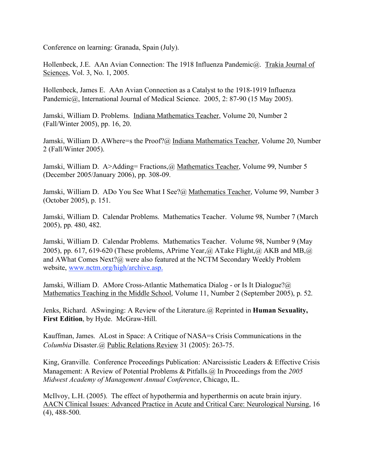Conference on learning: Granada, Spain (July).

Hollenbeck, J.E. AAn Avian Connection: The 1918 Influenza Pandemic@. Trakia Journal of Sciences, Vol. 3, No. 1, 2005.

Hollenbeck, James E. AAn Avian Connection as a Catalyst to the 1918-1919 Influenza Pandemic@, International Journal of Medical Science. 2005, 2: 87-90 (15 May 2005).

Jamski, William D. Problems. Indiana Mathematics Teacher, Volume 20, Number 2 (Fall/Winter 2005), pp. 16, 20.

Jamski, William D. AWhere=s the Proof?@ Indiana Mathematics Teacher, Volume 20, Number 2 (Fall/Winter 2005).

Jamski, William D. A>Adding= Fractions,@ Mathematics Teacher, Volume 99, Number 5 (December 2005/January 2006), pp. 308-09.

Jamski, William D. ADo You See What I See?@ Mathematics Teacher, Volume 99, Number 3 (October 2005), p. 151.

Jamski, William D. Calendar Problems. Mathematics Teacher. Volume 98, Number 7 (March 2005), pp. 480, 482.

Jamski, William D. Calendar Problems. Mathematics Teacher. Volume 98, Number 9 (May 2005), pp. 617, 619-620 (These problems, APrime Year, @ ATake Flight, @ AKB and MB, @ and AWhat Comes Next?@ were also featured at the NCTM Secondary Weekly Problem website, www.nctm.org/high/archive.asp.

Jamski, William D. AMore Cross-Atlantic Mathematica Dialog - or Is It Dialogue?@ Mathematics Teaching in the Middle School, Volume 11, Number 2 (September 2005), p. 52.

Jenks, Richard. ASwinging: A Review of the Literature.@ Reprinted in **Human Sexuality, First Edition**, by Hyde. McGraw-Hill.

Kauffman, James. ALost in Space: A Critique of NASA=s Crisis Communications in the *Columbia* Disaster.@ Public Relations Review 31 (2005): 263-75.

King, Granville. Conference Proceedings Publication: ANarcissistic Leaders & Effective Crisis Management: A Review of Potential Problems & Pitfalls.@ In Proceedings from the *2005 Midwest Academy of Management Annual Conference*, Chicago, IL.

McIlvoy, L.H. (2005). The effect of hypothermia and hyperthermis on acute brain injury. AACN Clinical Issues: Advanced Practice in Acute and Critical Care: Neurological Nursing, 16 (4), 488-500.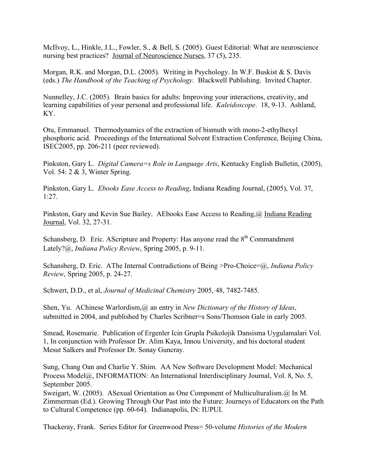McIlvoy, L., Hinkle, J.L., Fowler, S., & Bell, S. (2005). Guest Editorial: What are neuroscience nursing best practices? Journal of Neuroscience Nurses, 37 (5), 235.

Morgan, R.K. and Morgan, D.L. (2005). Writing in Psychology. In W.F. Buskist & S. Davis (eds.) *The Handbook of the Teaching of Psychology*. Blackwell Publishing. Invited Chapter.

Nunnelley, J.C. (2005). Brain basics for adults: Improving your interactions, creativity, and learning capabilities of your personal and professional life. *Kaleidoscope*. 18, 9-13. Ashland, KY.

Otu, Emmanuel. Thermodynamics of the extraction of bismuth with mono-2-ethylhexyl phosphoric acid. Proceedings of the International Solvent Extraction Conference, Beijing China, ISEC2005, pp. 206-211 (peer reviewed).

Pinkston, Gary L. *Digital Camera=s Role in Language Arts*, Kentucky English Bulletin, (2005), Vol. 54: 2 & 3, Winter Spring.

Pinkston, Gary L. *Ebooks Ease Access to Reading*, Indiana Reading Journal, (2005), Vol. 37, 1:27.

Pinkston, Gary and Kevin Sue Bailey. AEbooks Ease Access to Reading, @ Indiana Reading Journal, Vol. 32, 27-31.

Schansberg, D. Eric. AScripture and Property: Has anyone read the  $8<sup>th</sup>$  Commandment Lately?@, *Indiana Policy Review*, Spring 2005, p. 9-11.

Schansberg, D. Eric. AThe Internal Contradictions of Being >Pro-Choice=@, *Indiana Policy Review*, Spring 2005, p. 24-27.

Schwert, D.D., et al, *Journal of Medicinal Chemistry* 2005, 48, 7482-7485.

Shen, Yu. AChinese Warlordism,@ an entry in *New Dictionary of the History of Ideas*, submitted in 2004, and published by Charles Scribner=s Sons/Thomson Gale in early 2005.

Smead, Rosemarie. Publication of Ergenler Icin Grupla Psikolojik Dansisma Uygulamalari Vol. 1, In conjunction with Professor Dr. Alim Kaya, Innou University, and his doctoral student Mesut Salkers and Professor Dr. Sonay Guncray.

Sung, Chang Oan and Charlie Y. Shim. AA New Software Development Model: Mechanical Process Model@, INFORMATION: An International Interdisciplinary Journal, Vol. 8, No. 5, September 2005.

Sweigart, W. (2005). ASexual Orientation as One Component of Multiculturalism.@ In M. Zimmerman (Ed.). Growing Through Our Past into the Future: Journeys of Educators on the Path to Cultural Competence (pp. 60-64). Indianapolis, IN: IUPUI.

Thackeray, Frank. Series Editor for Greenwood Press= 50-volume *Histories of the Modern*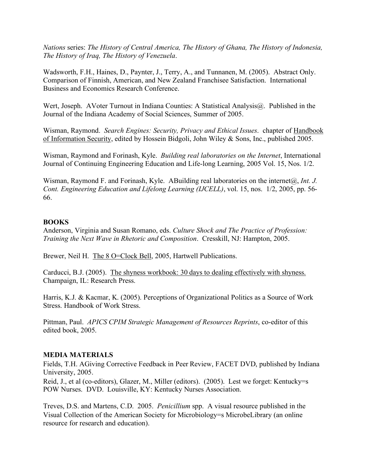*Nations* series: *The History of Central America, The History of Ghana, The History of Indonesia, The History of Iraq, The History of Venezuela*.

Wadsworth, F.H., Haines, D., Paynter, J., Terry, A., and Tunnanen, M. (2005). Abstract Only. Comparison of Finnish, American, and New Zealand Franchisee Satisfaction. International Business and Economics Research Conference.

Wert, Joseph. AVoter Turnout in Indiana Counties: A Statistical Analysis@. Published in the Journal of the Indiana Academy of Social Sciences, Summer of 2005.

Wisman, Raymond. *Search Engines: Security, Privacy and Ethical Issues*. chapter of Handbook of Information Security, edited by Hossein Bidgoli, John Wiley & Sons, Inc., published 2005.

Wisman, Raymond and Forinash, Kyle. *Building real laboratories on the Internet*, International Journal of Continuing Engineering Education and Life-long Learning, 2005 Vol. 15, Nos. 1/2.

Wisman, Raymond F. and Forinash, Kyle. ABuilding real laboratories on the internet@, *Int. J. Cont. Engineering Education and Lifelong Learning (IJCELL)*, vol. 15, nos. 1/2, 2005, pp. 56- 66.

## **BOOKS**

Anderson, Virginia and Susan Romano, eds. *Culture Shock and The Practice of Profession: Training the Next Wave in Rhetoric and Composition*. Cresskill, NJ: Hampton, 2005.

Brewer, Neil H. The 8 O=Clock Bell, 2005, Hartwell Publications.

Carducci, B.J. (2005). The shyness workbook: 30 days to dealing effectively with shyness. Champaign, IL: Research Press.

Harris, K.J. & Kacmar, K. (2005). Perceptions of Organizational Politics as a Source of Work Stress. Handbook of Work Stress.

Pittman, Paul. *APICS CPIM Strategic Management of Resources Reprints*, co-editor of this edited book, 2005.

## **MEDIA MATERIALS**

Fields, T.H. AGiving Corrective Feedback in Peer Review, FACET DVD, published by Indiana University, 2005.

Reid, J., et al (co-editors), Glazer, M., Miller (editors). (2005). Lest we forget: Kentucky=s POW Nurses. DVD. Louisville, KY: Kentucky Nurses Association.

Treves, D.S. and Martens, C.D. 2005. *Penicillium* spp. A visual resource published in the Visual Collection of the American Society for Microbiology=s MicrobeLibrary (an online resource for research and education).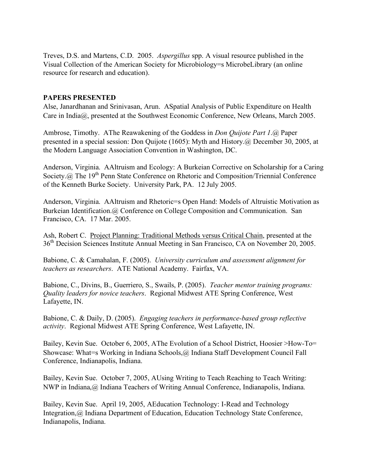Treves, D.S. and Martens, C.D. 2005. *Aspergillus* spp. A visual resource published in the Visual Collection of the American Society for Microbiology=s MicrobeLibrary (an online resource for research and education).

# **PAPERS PRESENTED**

Alse, Janardhanan and Srinivasan, Arun. ASpatial Analysis of Public Expenditure on Health Care in India@, presented at the Southwest Economic Conference, New Orleans, March 2005.

Ambrose, Timothy. AThe Reawakening of the Goddess in *Don Quijote Part 1*.@ Paper presented in a special session: Don Quijote (1605): Myth and History.@ December 30, 2005, at the Modern Language Association Convention in Washington, DC.

Anderson, Virginia. AAltruism and Ecology: A Burkeian Corrective on Scholarship for a Caring Society.@ The 19<sup>th</sup> Penn State Conference on Rhetoric and Composition/Triennial Conference of the Kenneth Burke Society. University Park, PA. 12 July 2005.

Anderson, Virginia. AAltruism and Rhetoric=s Open Hand: Models of Altruistic Motivation as Burkeian Identification.@ Conference on College Composition and Communication. San Francisco, CA. 17 Mar. 2005.

Ash, Robert C. Project Planning: Traditional Methods versus Critical Chain, presented at the 36th Decision Sciences Institute Annual Meeting in San Francisco, CA on November 20, 2005.

Babione, C. & Camahalan, F. (2005). *University curriculum and assessment alignment for teachers as researchers*. ATE National Academy. Fairfax, VA.

Babione, C., Divins, B., Guerriero, S., Swails, P. (2005). *Teacher mentor training programs: Quality leaders for novice teachers*. Regional Midwest ATE Spring Conference, West Lafayette, IN.

Babione, C. & Daily, D. (2005). *Engaging teachers in performance-based group reflective activity*. Regional Midwest ATE Spring Conference, West Lafayette, IN.

Bailey, Kevin Sue. October 6, 2005, AThe Evolution of a School District, Hoosier >How-To= Showcase: What=s Working in Indiana Schools,@ Indiana Staff Development Council Fall Conference, Indianapolis, Indiana.

Bailey, Kevin Sue. October 7, 2005, AUsing Writing to Teach Reaching to Teach Writing: NWP in Indiana, @ Indiana Teachers of Writing Annual Conference, Indianapolis, Indiana.

Bailey, Kevin Sue. April 19, 2005, AEducation Technology: I-Read and Technology Integration,@ Indiana Department of Education, Education Technology State Conference, Indianapolis, Indiana.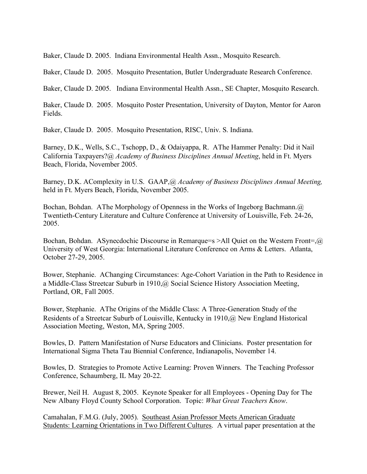Baker, Claude D. 2005. Indiana Environmental Health Assn., Mosquito Research.

Baker, Claude D. 2005. Mosquito Presentation, Butler Undergraduate Research Conference.

Baker, Claude D. 2005. Indiana Environmental Health Assn., SE Chapter, Mosquito Research.

Baker, Claude D. 2005. Mosquito Poster Presentation, University of Dayton, Mentor for Aaron Fields.

Baker, Claude D. 2005. Mosquito Presentation, RISC, Univ. S. Indiana.

Barney, D.K., Wells, S.C., Tschopp, D., & Odaiyappa, R. AThe Hammer Penalty: Did it Nail California Taxpayers?@ *Academy of Business Disciplines Annual Meeting*, held in Ft. Myers Beach, Florida, November 2005.

Barney, D.K. AComplexity in U.S. GAAP,@ *Academy of Business Disciplines Annual Meeting,* held in Ft. Myers Beach, Florida, November 2005.

Bochan, Bohdan. AThe Morphology of Openness in the Works of Ingeborg Bachmann.@ Twentieth-Century Literature and Culture Conference at University of Louisville, Feb. 24-26, 2005.

Bochan, Bohdan. ASynecdochic Discourse in Remarque=s >All Quiet on the Western Front=, $\omega$ University of West Georgia: International Literature Conference on Arms & Letters. Atlanta, October 27-29, 2005.

Bower, Stephanie. AChanging Circumstances: Age-Cohort Variation in the Path to Residence in a Middle-Class Streetcar Suburb in 1910,@ Social Science History Association Meeting, Portland, OR, Fall 2005.

Bower, Stephanie. AThe Origins of the Middle Class: A Three-Generation Study of the Residents of a Streetcar Suburb of Louisville, Kentucky in 1910,@ New England Historical Association Meeting, Weston, MA, Spring 2005.

Bowles, D. Pattern Manifestation of Nurse Educators and Clinicians. Poster presentation for International Sigma Theta Tau Biennial Conference, Indianapolis, November 14.

Bowles, D. Strategies to Promote Active Learning: Proven Winners. The Teaching Professor Conference, Schaumberg, IL May 20-22.

Brewer, Neil H. August 8, 2005. Keynote Speaker for all Employees - Opening Day for The New Albany Floyd County School Corporation. Topic: *What Great Teachers Know*.

Camahalan, F.M.G. (July, 2005). Southeast Asian Professor Meets American Graduate Students: Learning Orientations in Two Different Cultures. A virtual paper presentation at the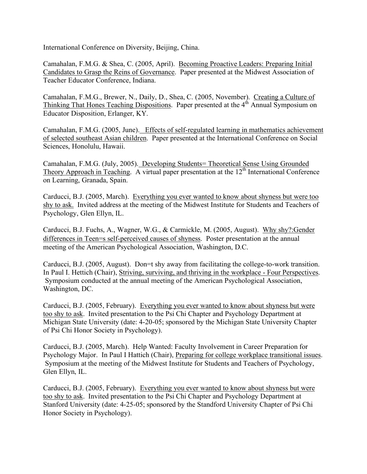International Conference on Diversity, Beijing, China.

Camahalan, F.M.G. & Shea, C. (2005, April). Becoming Proactive Leaders: Preparing Initial Candidates to Grasp the Reins of Governance. Paper presented at the Midwest Association of Teacher Educator Conference, Indiana.

Camahalan, F.M.G., Brewer, N., Daily, D., Shea, C. (2005, November). Creating a Culture of Thinking That Hones Teaching Dispositions. Paper presented at the  $4<sup>th</sup>$  Annual Symposium on Educator Disposition, Erlanger, KY.

Camahalan, F.M.G. (2005, June). Effects of self-regulated learning in mathematics achievement of selected southeast Asian children. Paper presented at the International Conference on Social Sciences, Honolulu, Hawaii.

Camahalan, F.M.G. (July, 2005). Developing Students= Theoretical Sense Using Grounded Theory Approach in Teaching. A virtual paper presentation at the 12<sup>th</sup> International Conference on Learning, Granada, Spain.

Carducci, B.J. (2005, March). Everything you ever wanted to know about shyness but were too shy to ask. Invited address at the meeting of the Midwest Institute for Students and Teachers of Psychology, Glen Ellyn, IL.

Carducci, B.J. Fuchs, A., Wagner, W.G., & Carmickle, M. (2005, August). Why shy?:Gender differences in Teen=s self-perceived causes of shyness. Poster presentation at the annual meeting of the American Psychological Association, Washington, D.C.

Carducci, B.J. (2005, August). Don=t shy away from facilitating the college-to-work transition. In Paul I. Hettich (Chair), Striving, surviving, and thriving in the workplace - Four Perspectives. Symposium conducted at the annual meeting of the American Psychological Association, Washington, DC.

Carducci, B.J. (2005, February). Everything you ever wanted to know about shyness but were too shy to ask. Invited presentation to the Psi Chi Chapter and Psychology Department at Michigan State University (date: 4-20-05; sponsored by the Michigan State University Chapter of Psi Chi Honor Society in Psychology).

Carducci, B.J. (2005, March). Help Wanted: Faculty Involvement in Career Preparation for Psychology Major. In Paul I Hattich (Chair), Preparing for college workplace transitional issues. Symposium at the meeting of the Midwest Institute for Students and Teachers of Psychology, Glen Ellyn, IL.

Carducci, B.J. (2005, February). Everything you ever wanted to know about shyness but were too shy to ask. Invited presentation to the Psi Chi Chapter and Psychology Department at Stanford University (date: 4-25-05; sponsored by the Standford University Chapter of Psi Chi Honor Society in Psychology).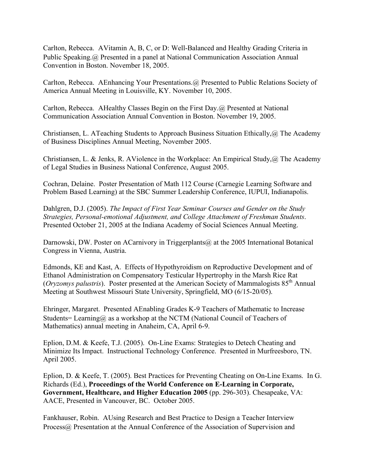Carlton, Rebecca. AVitamin A, B, C, or D: Well-Balanced and Healthy Grading Criteria in Public Speaking.@ Presented in a panel at National Communication Association Annual Convention in Boston. November 18, 2005.

Carlton, Rebecca. AEnhancing Your Presentations.@ Presented to Public Relations Society of America Annual Meeting in Louisville, KY. November 10, 2005.

Carlton, Rebecca. AHealthy Classes Begin on the First Day.@ Presented at National Communication Association Annual Convention in Boston. November 19, 2005.

Christiansen, L. ATeaching Students to Approach Business Situation Ethically,@ The Academy of Business Disciplines Annual Meeting, November 2005.

Christiansen, L. & Jenks, R. AViolence in the Workplace: An Empirical Study,  $\omega$  The Academy of Legal Studies in Business National Conference, August 2005.

Cochran, Delaine. Poster Presentation of Math 112 Course (Carnegie Learning Software and Problem Based Learning) at the SBC Summer Leadership Conference, IUPUI, Indianapolis.

Dahlgren, D.J. (2005). *The Impact of First Year Seminar Courses and Gender on the Study Strategies, Personal-emotional Adjustment, and College Attachment of Freshman Students*. Presented October 21, 2005 at the Indiana Academy of Social Sciences Annual Meeting.

Darnowski, DW. Poster on ACarnivory in Triggerplants@ at the 2005 International Botanical Congress in Vienna, Austria.

Edmonds, KE and Kast, A. Effects of Hypothyroidism on Reproductive Development and of Ethanol Administration on Compensatory Testicular Hypertrophy in the Marsh Rice Rat (*Oryzomys palustris*). Poster presented at the American Society of Mammalogists 85th Annual Meeting at Southwest Missouri State University, Springfield, MO (6/15-20/05).

Ehringer, Margaret. Presented AEnabling Grades K-9 Teachers of Mathematic to Increase Students= Learning@ as a workshop at the NCTM (National Council of Teachers of Mathematics) annual meeting in Anaheim, CA, April 6-9.

Eplion, D.M. & Keefe, T.J. (2005). On-Line Exams: Strategies to Detech Cheating and Minimize Its Impact. Instructional Technology Conference. Presented in Murfreesboro, TN. April 2005.

Eplion, D. & Keefe, T. (2005). Best Practices for Preventing Cheating on On-Line Exams. In G. Richards (Ed.), **Proceedings of the World Conference on E-Learning in Corporate, Government, Healthcare, and Higher Education 2005** (pp. 296-303). Chesapeake, VA: AACE, Presented in Vancouver, BC. October 2005.

Fankhauser, Robin. AUsing Research and Best Practice to Design a Teacher Interview Process@ Presentation at the Annual Conference of the Association of Supervision and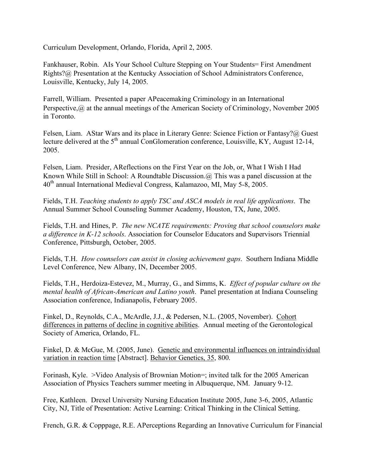Curriculum Development, Orlando, Florida, April 2, 2005.

Fankhauser, Robin. AIs Your School Culture Stepping on Your Students= First Amendment Rights?@ Presentation at the Kentucky Association of School Administrators Conference, Louisville, Kentucky, July 14, 2005.

Farrell, William. Presented a paper APeacemaking Criminology in an International Perspective, @ at the annual meetings of the American Society of Criminology, November 2005 in Toronto.

Felsen, Liam. AStar Wars and its place in Literary Genre: Science Fiction or Fantasy?@ Guest lecture delivered at the  $5<sup>th</sup>$  annual ConGlomeration conference, Louisville, KY, August 12-14, 2005.

Felsen, Liam. Presider, AReflections on the First Year on the Job, or, What I Wish I Had Known While Still in School: A Roundtable Discussion.@ This was a panel discussion at the 40<sup>th</sup> annual International Medieval Congress, Kalamazoo, MI, May 5-8, 2005.

Fields, T.H. *Teaching students to apply TSC and ASCA models in real life applications*. The Annual Summer School Counseling Summer Academy, Houston, TX, June, 2005.

Fields, T.H. and Hines, P. *The new NCATE requirements: Proving that school counselors make a difference in K-12 schools*. Association for Counselor Educators and Supervisors Triennial Conference, Pittsburgh, October, 2005.

Fields, T.H. *How counselors can assist in closing achievement gaps*. Southern Indiana Middle Level Conference, New Albany, IN, December 2005.

Fields, T.H., Herdoiza-Estevez, M., Murray, G., and Simms, K. *Effect of popular culture on the mental health of African-American and Latino youth*. Panel presentation at Indiana Counseling Association conference, Indianapolis, February 2005.

Finkel, D., Reynolds, C.A., McArdle, J.J., & Pedersen, N.L. (2005, November). Cohort differences in patterns of decline in cognitive abilities. Annual meeting of the Gerontological Society of America, Orlando, FL.

Finkel, D. & McGue, M. (2005, June). Genetic and environmental influences on intraindividual variation in reaction time [Abstract]. Behavior Genetics, 35, 800.

Forinash, Kyle. >Video Analysis of Brownian Motion=; invited talk for the 2005 American Association of Physics Teachers summer meeting in Albuquerque, NM. January 9-12.

Free, Kathleen. Drexel University Nursing Education Institute 2005, June 3-6, 2005, Atlantic City, NJ, Title of Presentation: Active Learning: Critical Thinking in the Clinical Setting.

French, G.R. & Copppage, R.E. APerceptions Regarding an Innovative Curriculum for Financial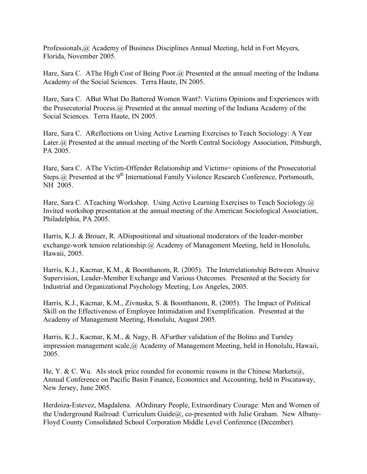Professionals,@ Academy of Business Disciplines Annual Meeting, held in Fort Meyers, Florida, November 2005.

Hare, Sara C. AThe High Cost of Being Poor. @ Presented at the annual meeting of the Indiana Academy of the Social Sciences. Terra Haute, IN 2005.

Hare, Sara C. ABut What Do Battered Women Want?: Victims Opinions and Experiences with the Presecutorial Process.@ Presented at the annual meeting of the Indiana Academy of the Social Sciences. Terra Haute, IN 2005.

Hare, Sara C. AReflections on Using Active Learning Exercises to Teach Sociology: A Year Later.@ Presented at the annual meeting of the North Central Sociology Association, Pittsburgh, PA 2005.

Hare, Sara C. AThe Victim-Offender Relationship and Victims= opinions of the Prosecutorial Steps.@ Presented at the 9<sup>th</sup> International Family Violence Research Conference, Portsmouth, NH 2005.

Hare, Sara C. ATeaching Workshop. Using Active Learning Exercises to Teach Sociology.@ Invited workshop presentation at the annual meeting of the American Sociological Association, Philadelphia, PA 2005.

Harris, K.J. & Brouer, R. ADispositional and situational moderators of the leader-member exchange-work tension relationship.@ Academy of Management Meeting, held in Honolulu, Hawaii, 2005.

Harris, K.J., Kacmar, K.M., & Boonthanom, R. (2005). The Interrelationship Between Abusive Supervision, Leader-Member Exchange and Various Outcomes. Presented at the Society for Industrial and Organizational Psychology Meeting, Los Angeles, 2005.

Harris, K.J., Kacmar, K.M., Zivnuska, S. & Boonthanom, R. (2005). The Impact of Political Skill on the Effectiveness of Employee Intimidation and Exemplification. Presented at the Academy of Management Meeting, Honolulu, August 2005.

Harris, K.J., Kacmar, K.M., & Nagy, B. AFurther validation of the Bolino and Turnley impression management scale,@ Academy of Management Meeting, held in Honolulu, Hawaii, 2005.

He, Y. & C. Wu. Als stock price rounded for economic reasons in the Chinese Markets $\omega$ , Annual Conference on Pacific Basin Finance, Economics and Accounting, held in Piscataway, New Jersey, June 2005.

Herdoiza-Estevez, Magdalena. AOrdinary People, Extraordinary Courage: Men and Women of the Underground Railroad: Curriculum Guide@, co-presented with Julie Graham. New Albany-Floyd County Consolidated School Corporation Middle Level Conference (December).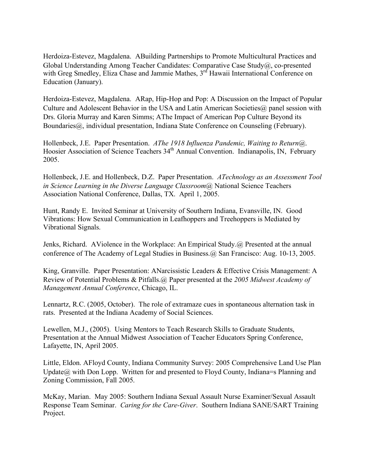Herdoiza-Estevez, Magdalena. ABuilding Partnerships to Promote Multicultural Practices and Global Understanding Among Teacher Candidates: Comparative Case Study@, co-presented with Greg Smedley, Eliza Chase and Jammie Mathes, 3<sup>rd</sup> Hawaii International Conference on Education (January).

Herdoiza-Estevez, Magdalena. ARap, Hip-Hop and Pop: A Discussion on the Impact of Popular Culture and Adolescent Behavior in the USA and Latin American Societies@ panel session with Drs. Gloria Murray and Karen Simms; AThe Impact of American Pop Culture Beyond its Boundaries (a), individual presentation, Indiana State Conference on Counseling (February).

Hollenbeck, J.E. Paper Presentation. *AThe 1918 Influenza Pandemic, Waiting to Return@*. Hoosier Association of Science Teachers 34<sup>th</sup> Annual Convention. Indianapolis, IN, February 2005.

Hollenbeck, J.E. and Hollenbeck, D.Z. Paper Presentation. *ATechnology as an Assessment Tool in Science Learning in the Diverse Language Classroom@* National Science Teachers Association National Conference, Dallas, TX. April 1, 2005.

Hunt, Randy E. Invited Seminar at University of Southern Indiana, Evansville, IN. Good Vibrations: How Sexual Communication in Leafhoppers and Treehoppers is Mediated by Vibrational Signals.

Jenks, Richard. AViolence in the Workplace: An Empirical Study.@ Presented at the annual conference of The Academy of Legal Studies in Business.@ San Francisco: Aug. 10-13, 2005.

King, Granville. Paper Presentation: ANarcissistic Leaders & Effective Crisis Management: A Review of Potential Problems & Pitfalls.@ Paper presented at the *2005 Midwest Academy of Management Annual Conference*, Chicago, IL.

Lennartz, R.C. (2005, October). The role of extramaze cues in spontaneous alternation task in rats. Presented at the Indiana Academy of Social Sciences.

Lewellen, M.J., (2005). Using Mentors to Teach Research Skills to Graduate Students, Presentation at the Annual Midwest Association of Teacher Educators Spring Conference, Lafayette, IN, April 2005.

Little, Eldon. AFloyd County, Indiana Community Survey: 2005 Comprehensive Land Use Plan Update@ with Don Lopp. Written for and presented to Floyd County, Indiana=s Planning and Zoning Commission, Fall 2005.

McKay, Marian. May 2005: Southern Indiana Sexual Assault Nurse Examiner/Sexual Assault Response Team Seminar. *Caring for the Care-Giver*. Southern Indiana SANE/SART Training Project.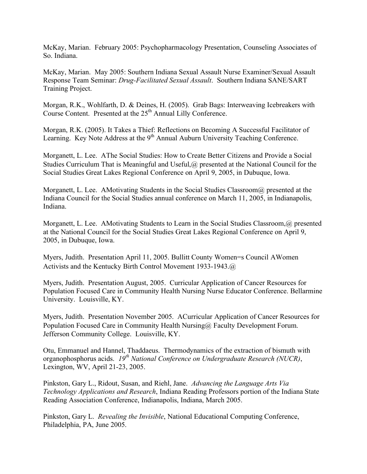McKay, Marian. February 2005: Psychopharmacology Presentation, Counseling Associates of So. Indiana.

McKay, Marian. May 2005: Southern Indiana Sexual Assault Nurse Examiner/Sexual Assault Response Team Seminar: *Drug-Facilitated Sexual Assault*. Southern Indiana SANE/SART Training Project.

Morgan, R.K., Wohlfarth, D. & Deines, H. (2005). Grab Bags: Interweaving Icebreakers with Course Content. Presented at the 25<sup>th</sup> Annual Lilly Conference.

Morgan, R.K. (2005). It Takes a Thief: Reflections on Becoming A Successful Facilitator of Learning. Key Note Address at the 9<sup>th</sup> Annual Auburn University Teaching Conference.

Morganett, L. Lee. AThe Social Studies: How to Create Better Citizens and Provide a Social Studies Curriculum That is Meaningful and Useful,@ presented at the National Council for the Social Studies Great Lakes Regional Conference on April 9, 2005, in Dubuque, Iowa.

Morganett, L. Lee. AMotivating Students in the Social Studies Classroom@ presented at the Indiana Council for the Social Studies annual conference on March 11, 2005, in Indianapolis, Indiana.

Morganett, L. Lee. AMotivating Students to Learn in the Social Studies Classroom, @ presented at the National Council for the Social Studies Great Lakes Regional Conference on April 9, 2005, in Dubuque, Iowa.

Myers, Judith. Presentation April 11, 2005. Bullitt County Women=s Council AWomen Activists and the Kentucky Birth Control Movement 1933-1943.@

Myers, Judith. Presentation August, 2005. Curricular Application of Cancer Resources for Population Focused Care in Community Health Nursing Nurse Educator Conference. Bellarmine University. Louisville, KY.

Myers, Judith. Presentation November 2005. ACurricular Application of Cancer Resources for Population Focused Care in Community Health Nursing@ Faculty Development Forum. Jefferson Community College. Louisville, KY.

Otu, Emmanuel and Hannel, Thaddaeus. Thermodynamics of the extraction of bismuth with organophosphorus acids. *19th National Conference on Undergraduate Research (NUCR)*, Lexington, WV, April 21-23, 2005.

Pinkston, Gary L., Ridout, Susan, and Riehl, Jane. *Advancing the Language Arts Via Technology Applications and Research*, Indiana Reading Professors portion of the Indiana State Reading Association Conference, Indianapolis, Indiana, March 2005.

Pinkston, Gary L. *Revealing the Invisible*, National Educational Computing Conference, Philadelphia, PA, June 2005.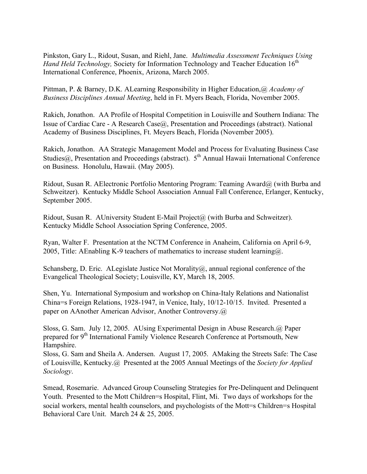Pinkston, Gary L., Ridout, Susan, and Riehl, Jane. *Multimedia Assessment Techniques Using Hand Held Technology,* Society for Information Technology and Teacher Education 16<sup>th</sup> International Conference, Phoenix, Arizona, March 2005.

Pittman, P. & Barney, D.K. ALearning Responsibility in Higher Education,@ *Academy of Business Disciplines Annual Meeting*, held in Ft. Myers Beach, Florida, November 2005.

Rakich, Jonathon. AA Profile of Hospital Competition in Louisville and Southern Indiana: The Issue of Cardiac Care - A Research Case@, Presentation and Proceedings (abstract). National Academy of Business Disciplines, Ft. Meyers Beach, Florida (November 2005).

Rakich, Jonathon. AA Strategic Management Model and Process for Evaluating Business Case Studies@, Presentation and Proceedings (abstract).  $5<sup>th</sup>$  Annual Hawaii International Conference on Business. Honolulu, Hawaii. (May 2005).

Ridout, Susan R. AElectronic Portfolio Mentoring Program: Teaming Award@ (with Burba and Schweitzer). Kentucky Middle School Association Annual Fall Conference, Erlanger, Kentucky, September 2005.

Ridout, Susan R. AUniversity Student E-Mail Project@ (with Burba and Schweitzer). Kentucky Middle School Association Spring Conference, 2005.

Ryan, Walter F. Presentation at the NCTM Conference in Anaheim, California on April 6-9, 2005, Title: AEnabling K-9 teachers of mathematics to increase student learning $@$ .

Schansberg, D. Eric. A Legislate Justice Not Morality $\omega$ , annual regional conference of the Evangelical Theological Society; Louisville, KY, March 18, 2005.

Shen, Yu. International Symposium and workshop on China-Italy Relations and Nationalist China=s Foreign Relations, 1928-1947, in Venice, Italy, 10/12-10/15. Invited. Presented a paper on AAnother American Advisor, Another Controversy.@

Sloss, G. Sam. July 12, 2005. AUsing Experimental Design in Abuse Research.@ Paper prepared for 9<sup>th</sup> International Family Violence Research Conference at Portsmouth, New Hampshire.

Sloss, G. Sam and Sheila A. Andersen. August 17, 2005. AMaking the Streets Safe: The Case of Louisville, Kentucky.@ Presented at the 2005 Annual Meetings of the *Society for Applied Sociology*.

Smead, Rosemarie. Advanced Group Counseling Strategies for Pre-Delinquent and Delinquent Youth. Presented to the Mott Children=s Hospital, Flint, Mi. Two days of workshops for the social workers, mental health counselors, and psychologists of the Mott=s Children=s Hospital Behavioral Care Unit. March 24 & 25, 2005.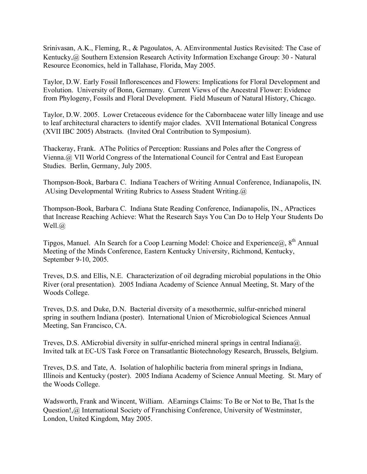Srinivasan, A.K., Fleming, R., & Pagoulatos, A. AEnvironmental Justics Revisited: The Case of Kentucky,@ Southern Extension Research Activity Information Exchange Group: 30 - Natural Resource Economics, held in Tallahase, Florida, May 2005.

Taylor, D.W. Early Fossil Inflorescences and Flowers: Implications for Floral Development and Evolution. University of Bonn, Germany. Current Views of the Ancestral Flower: Evidence from Phylogeny, Fossils and Floral Development. Field Museum of Natural History, Chicago.

Taylor, D.W. 2005. Lower Cretaceous evidence for the Cabornbaceae water lilly lineage and use to leaf architectural characters to identify major clades. XVII International Botanical Congress (XVII IBC 2005) Abstracts. (Invited Oral Contribution to Symposium).

Thackeray, Frank. AThe Politics of Perception: Russians and Poles after the Congress of Vienna.@ VII World Congress of the International Council for Central and East European Studies. Berlin, Germany, July 2005.

Thompson-Book, Barbara C. Indiana Teachers of Writing Annual Conference, Indianapolis, IN. AUsing Developmental Writing Rubrics to Assess Student Writing.@

Thompson-Book, Barbara C. Indiana State Reading Conference, Indianapolis, IN., APractices that Increase Reaching Achieve: What the Research Says You Can Do to Help Your Students Do Well.@

Tipgos, Manuel. AIn Search for a Coop Learning Model: Choice and Experience $(a, 8<sup>th</sup>$  Annual Meeting of the Minds Conference, Eastern Kentucky University, Richmond, Kentucky, September 9-10, 2005.

Treves, D.S. and Ellis, N.E. Characterization of oil degrading microbial populations in the Ohio River (oral presentation). 2005 Indiana Academy of Science Annual Meeting, St. Mary of the Woods College.

Treves, D.S. and Duke, D.N. Bacterial diversity of a mesothermic, sulfur-enriched mineral spring in southern Indiana (poster). International Union of Microbiological Sciences Annual Meeting, San Francisco, CA.

Treves, D.S. AMicrobial diversity in sulfur-enriched mineral springs in central Indiana@. Invited talk at EC-US Task Force on Transatlantic Biotechnology Research, Brussels, Belgium.

Treves, D.S. and Tate, A. Isolation of halophilic bacteria from mineral springs in Indiana, Illinois and Kentucky (poster). 2005 Indiana Academy of Science Annual Meeting. St. Mary of the Woods College.

Wadsworth, Frank and Wincent, William. AEarnings Claims: To Be or Not to Be, That Is the Question!,@ International Society of Franchising Conference, University of Westminster, London, United Kingdom, May 2005.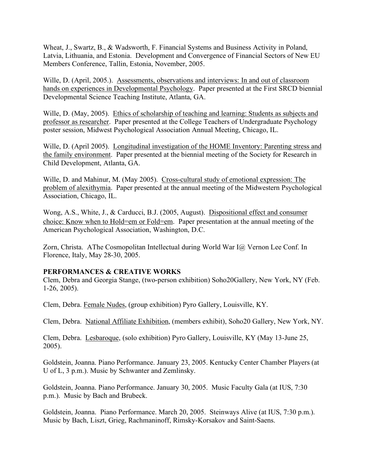Wheat, J., Swartz, B., & Wadsworth, F. Financial Systems and Business Activity in Poland, Latvia, Lithuania, and Estonia. Development and Convergence of Financial Sectors of New EU Members Conference, Tallin, Estonia, November, 2005.

Wille, D. (April, 2005.). Assessments, observations and interviews: In and out of classroom hands on experiences in Developmental Psychology. Paper presented at the First SRCD biennial Developmental Science Teaching Institute, Atlanta, GA.

Wille, D. (May, 2005). Ethics of scholarship of teaching and learning: Students as subjects and professor as researcher. Paper presented at the College Teachers of Undergraduate Psychology poster session, Midwest Psychological Association Annual Meeting, Chicago, IL.

Wille, D. (April 2005). Longitudinal investigation of the HOME Inventory: Parenting stress and the family environment. Paper presented at the biennial meeting of the Society for Research in Child Development, Atlanta, GA.

Wille, D. and Mahinur, M. (May 2005). Cross-cultural study of emotional expression: The problem of alexithymia. Paper presented at the annual meeting of the Midwestern Psychological Association, Chicago, IL.

Wong, A.S., White, J., & Carducci, B.J. (2005, August). Dispositional effect and consumer choice: Know when to Hold=em or Fold=em. Paper presentation at the annual meeting of the American Psychological Association, Washington, D.C.

Zorn, Christa. AThe Cosmopolitan Intellectual during World War I@ Vernon Lee Conf. In Florence, Italy, May 28-30, 2005.

# **PERFORMANCES & CREATIVE WORKS**

Clem, Debra and Georgia Stange, (two-person exhibition) Soho20Gallery, New York, NY (Feb. 1-26, 2005).

Clem, Debra. Female Nudes, (group exhibition) Pyro Gallery, Louisville, KY.

Clem, Debra. National Affiliate Exhibition, (members exhibit), Soho20 Gallery, New York, NY.

Clem, Debra. Lesbaroque, (solo exhibition) Pyro Gallery, Louisville, KY (May 13-June 25, 2005).

Goldstein, Joanna. Piano Performance. January 23, 2005. Kentucky Center Chamber Players (at U of L, 3 p.m.). Music by Schwanter and Zemlinsky.

Goldstein, Joanna. Piano Performance. January 30, 2005. Music Faculty Gala (at IUS, 7:30 p.m.). Music by Bach and Brubeck.

Goldstein, Joanna. Piano Performance. March 20, 2005. Steinways Alive (at IUS, 7:30 p.m.). Music by Bach, Liszt, Grieg, Rachmaninoff, Rimsky-Korsakov and Saint-Saens.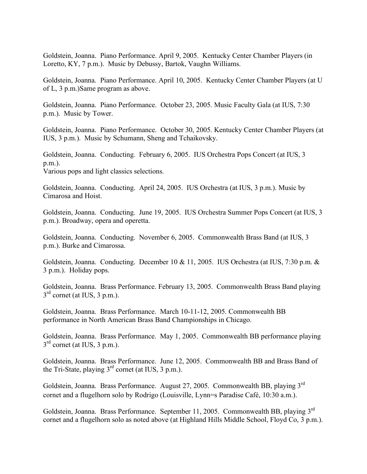Goldstein, Joanna. Piano Performance. April 9, 2005. Kentucky Center Chamber Players (in Loretto, KY, 7 p.m.). Music by Debussy, Bartok, Vaughn Williams.

Goldstein, Joanna. Piano Performance. April 10, 2005. Kentucky Center Chamber Players (at U of L, 3 p.m.)Same program as above.

Goldstein, Joanna. Piano Performance. October 23, 2005. Music Faculty Gala (at IUS, 7:30 p.m.). Music by Tower.

Goldstein, Joanna. Piano Performance. October 30, 2005. Kentucky Center Chamber Players (at IUS, 3 p.m.). Music by Schumann, Sheng and Tchaikovsky.

Goldstein, Joanna. Conducting. February 6, 2005. IUS Orchestra Pops Concert (at IUS, 3 p.m.). Various pops and light classics selections.

Goldstein, Joanna. Conducting. April 24, 2005. IUS Orchestra (at IUS, 3 p.m.). Music by Cimarosa and Hoist.

Goldstein, Joanna. Conducting. June 19, 2005. IUS Orchestra Summer Pops Concert (at IUS, 3 p.m.). Broadway, opera and operetta.

Goldstein, Joanna. Conducting. November 6, 2005. Commonwealth Brass Band (at IUS, 3 p.m.). Burke and Cimarossa.

Goldstein, Joanna. Conducting. December 10 & 11, 2005. IUS Orchestra (at IUS, 7:30 p.m. & 3 p.m.). Holiday pops.

Goldstein, Joanna. Brass Performance. February 13, 2005. Commonwealth Brass Band playing  $3<sup>rd</sup>$  cornet (at IUS, 3 p.m.).

Goldstein, Joanna. Brass Performance. March 10-11-12, 2005. Commonwealth BB performance in North American Brass Band Championships in Chicago.

Goldstein, Joanna. Brass Performance. May 1, 2005. Commonwealth BB performance playing  $3<sup>rd</sup>$  cornet (at IUS, 3 p.m.).

Goldstein, Joanna. Brass Performance. June 12, 2005. Commonwealth BB and Brass Band of the Tri-State, playing  $3^{rd}$  cornet (at IUS, 3 p.m.).

Goldstein, Joanna. Brass Performance. August 27, 2005. Commonwealth BB, playing 3rd cornet and a flugelhorn solo by Rodrigo (Louisville, Lynn=s Paradise Café, 10:30 a.m.).

Goldstein, Joanna. Brass Performance. September 11, 2005. Commonwealth BB, playing 3rd cornet and a flugelhorn solo as noted above (at Highland Hills Middle School, Floyd Co, 3 p.m.).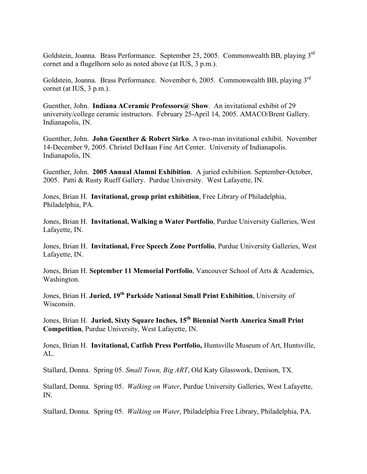Goldstein, Joanna. Brass Performance. September 25, 2005. Commonwealth BB, playing 3rd cornet and a flugelhorn solo as noted above (at IUS, 3 p.m.).

Goldstein, Joanna. Brass Performance. November 6, 2005. Commonwealth BB, playing 3rd cornet (at IUS, 3 p.m.).

Guenther, John. **Indiana ACeramic Professors@ Show**. An invitational exhibit of 29 university/college ceramic instructors. February 25-April 14, 2005. AMACO/Brent Gallery. Indianapolis, IN.

Guenther, John. **John Guenther & Robert Sirko**. A two-man invitational exhibit. November 14-December 9, 2005. Christel DeHaan Fine Art Center. University of Indianapolis. Indianapolis, IN.

Guenther, John. **2005 Annual Alumni Exhibition**. A juried exhibition. September-October, 2005. Patti & Rusty Rueff Gallery. Purdue University. West Lafayette, IN.

Jones, Brian H. **Invitational, group print exhibition**, Free Library of Philadelphia, Philadelphia, PA.

Jones, Brian H. **Invitational, Walking n Water Portfolio**, Purdue University Galleries, West Lafayette, IN.

Jones, Brian H. **Invitational, Free Speech Zone Portfolio**, Purdue University Galleries, West Lafayette, IN.

Jones, Brian H. **September 11 Memorial Portfolio**, Vancouver School of Arts & Academics, Washington.

Jones, Brian H. **Juried, 19th Parkside National Small Print Exhibition**, University of Wisconsin.

Jones, Brian H. **Juried, Sixty Square Inches, 15th Biennial North America Small Print Competition**, Purdue University, West Lafayette, IN.

Jones, Brian H. **Invitational, Catfish Press Portfolio,** Huntsville Museum of Art, Huntsville, AL.

Stallard, Donna. Spring 05. *Small Town, Big ART*, Old Katy Glasswork, Denison, TX.

Stallard, Donna. Spring 05. *Walking on Water*, Purdue University Galleries, West Lafayette, IN.

Stallard, Donna. Spring 05. *Walking on Water*, Philadelphia Free Library, Philadelphia, PA.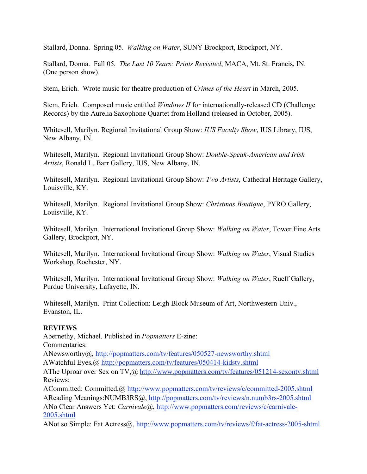Stallard, Donna. Spring 05. *Walking on Water*, SUNY Brockport, Brockport, NY.

Stallard, Donna. Fall 05. *The Last 10 Years: Prints Revisited*, MACA, Mt. St. Francis, IN. (One person show).

Stem, Erich. Wrote music for theatre production of *Crimes of the Heart* in March, 2005.

Stem, Erich. Composed music entitled *Windows II* for internationally-released CD (Challenge Records) by the Aurelia Saxophone Quartet from Holland (released in October, 2005).

Whitesell, Marilyn. Regional Invitational Group Show: *IUS Faculty Show*, IUS Library, IUS, New Albany, IN.

Whitesell, Marilyn. Regional Invitational Group Show: *Double-Speak-American and Irish Artists*, Ronald L. Barr Gallery, IUS, New Albany, IN.

Whitesell, Marilyn. Regional Invitational Group Show: *Two Artists*, Cathedral Heritage Gallery, Louisville, KY.

Whitesell, Marilyn. Regional Invitational Group Show: *Christmas Boutique*, PYRO Gallery, Louisville, KY.

Whitesell, Marilyn. International Invitational Group Show: *Walking on Water*, Tower Fine Arts Gallery, Brockport, NY.

Whitesell, Marilyn. International Invitational Group Show: *Walking on Water*, Visual Studies Workshop, Rochester, NY.

Whitesell, Marilyn. International Invitational Group Show: *Walking on Water*, Rueff Gallery, Purdue University, Lafayette, IN.

Whitesell, Marilyn. Print Collection: Leigh Block Museum of Art, Northwestern Univ., Evanston, IL.

## **REVIEWS**

Abernethy, Michael. Published in *Popmatters* E-zine: Commentaries: ANewsworthy@, http://popmatters.com/tv/features/050527-newsworthy.shtml AWatchful Eyes,@ http://popmatters.com/tv/features/050414-kidstv.shtml AThe Uproar over Sex on TV,@ http://www.popmatters.com/tv/features/051214-sexontv.shtml Reviews: ACommitted: Committed,@ http://www.popmatters.com/tv/reviews/c/committed-2005.shtml AReading Meanings:NUMB3RS@, http://popmatters.com/tv/reviews/n.numb3rs-2005.shtml ANo Clear Answers Yet: *Carnivale*@, http://www.popmatters.com/reviews/c/carnivale-2005.shtml

ANot so Simple: Fat Actress@, http://www.popmatters.com/tv/reviews/f/fat-actress-2005-shtml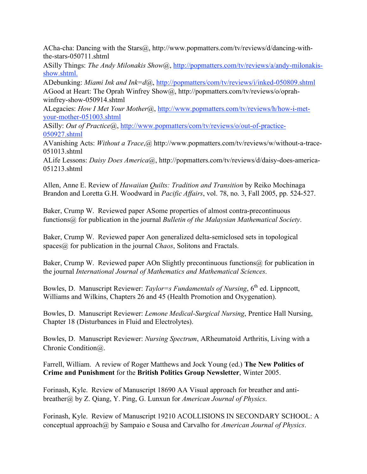ACha-cha: Dancing with the Stars@, http://www.popmatters.com/tv/reviews/d/dancing-withthe-stars-050711.shtml

ASilly Things: *The Andy Milonakis Show*@, http://popmatters.com/tv/reviews/a/andy-milonakisshow.shtml.

ADebunking: *Miami Ink and Ink=d*@, http://popmatters/com/tv/reviews/i/inked-050809.shtml AGood at Heart: The Oprah Winfrey Show@, http://popmatters.com/tv/reviews/o/oprahwinfrey-show-050914.shtml

ALegacies: *How I Met Your Mother*@, http://www.popmatters.com/tv/reviews/h/how-i-metyour-mother-051003.shtml

ASilly: *Out of Practice*@, http://www.popmatters/com/tv/reviews/o/out-of-practice-050927.shtml

AVanishing Acts: *Without a Trace*,@ http://www.popmatters.com/tv/reviews/w/without-a-trace-051013.shtml

ALife Lessons: *Daisy Does America*@, http://popmatters.com/tv/reviews/d/daisy-does-america-051213.shtml

Allen, Anne E. Review of *Hawaiian Quilts: Tradition and Transition* by Reiko Mochinaga Brandon and Loretta G.H. Woodward in *Pacific Affairs*, vol. 78, no. 3, Fall 2005, pp. 524-527.

Baker, Crump W. Reviewed paper ASome properties of almost contra-precontinuous functions@ for publication in the journal *Bulletin of the Malaysian Mathematical Society*.

Baker, Crump W. Reviewed paper Aon generalized delta-semiclosed sets in topological spaces<sup>(a)</sup> for publication in the journal *Chaos*, Solitons and Fractals.

Baker, Crump W. Reviewed paper AOn Slightly precontinuous functions  $\omega$  for publication in the journal *International Journal of Mathematics and Mathematical Sciences*.

Bowles, D. Manuscript Reviewer: *Taylor=s Fundamentals of Nursing*, 6<sup>th</sup> ed. Lippncott, Williams and Wilkins, Chapters 26 and 45 (Health Promotion and Oxygenation).

Bowles, D. Manuscript Reviewer: *Lemone Medical-Surgical Nursing*, Prentice Hall Nursing, Chapter 18 (Disturbances in Fluid and Electrolytes).

Bowles, D. Manuscript Reviewer: *Nursing Spectrum*, ARheumatoid Arthritis, Living with a Chronic Condition@.

Farrell, William. A review of Roger Matthews and Jock Young (ed.) **The New Politics of Crime and Punishment** for the **British Politics Group Newsletter**, Winter 2005.

Forinash, Kyle. Review of Manuscript 18690 AA Visual approach for breather and antibreather@ by Z. Qiang, Y. Ping, G. Lunxun for *American Journal of Physics*.

Forinash, Kyle. Review of Manuscript 19210 ACOLLISIONS IN SECONDARY SCHOOL: A conceptual approach@ by Sampaio e Sousa and Carvalho for *American Journal of Physics*.